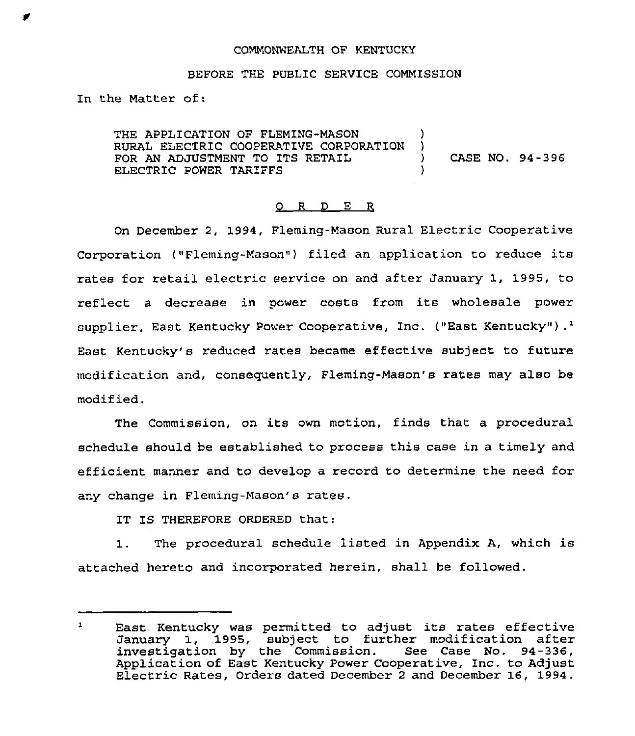#### COMMONWEALTH OF KENTUCKY

### BEFORE THE PUBLIC SERVICE COMMISSION

In the Matter of:

THE APPLICATION OF FLEMING-MASON )<br>RURAL ELECTRIC COOPERATIVE CORPORATION ) RURAL ELECTRIC COOPERATIVE CORPORATION )<br>FOR AN ADJUSTMENT TO ITS RETAIL () FOR AN ADJUSTMENT TO ITS RETAIL  $(94-396$ <br>ELECTRIC POWER TARIFES ELECTRIC POWER TARIFFS

#### 0 R <sup>D</sup> E R

On December 2, 1994, Fleming-Mason Rural Electric Cooperative Corporation ("Fleming-Mason") filed an application to reduce its rates for retail electric service on and after January 1, 1995, to reflect <sup>a</sup> decrease in power costs from its wholesale power supplier, East Kentucky Power Cooperative, Inc. ("East Kentucky").<sup>1</sup> Kentucky's reduced rates became effective subject to futur modification and, consequently, Fleming-Mason's rates may also be modified.

The Commission, on its own motion, finds that a procedural schedule should be established to process this case in a timely and efficient manner and to develop a record to determine the need for any change in Fleming-Mason's rates.

IT IS THEREFORE ORDERED that:

1. The procedural schedule listed in Appendix A, which is attached hereto and incorporated herein, shall be followed.

 $\mathbf{1}$ East Kentucky was permitted to adjust its rates effective January 1, 1995, subject to further modification after investigation by the Commission. See Case No. 94-336, Application of East Kentucky Power Cooperative, Inc. to Adjust Electric Rates, Orders dated December <sup>2</sup> and December 16, 1994.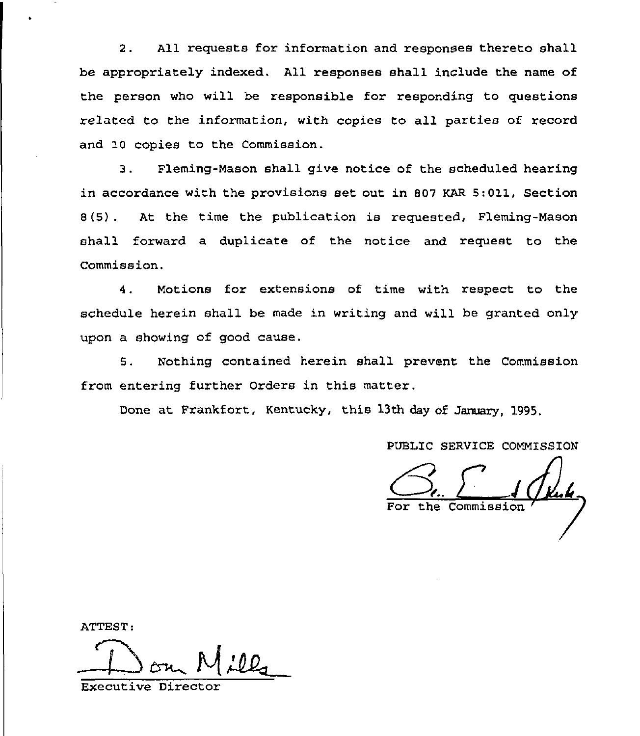2. All requests for information and responses thereto shall be appropriately indexed. All responses shall include the name of the person who will be responsible for responding to questions related to the information, with copies to all parties of record and 10 copies to the Commission.

3. Fleming-Mason shall give notice of the scheduled hearing in accordance with the provisions set out in 807 KAR 5:011, Section 8(5) . At the time the publication is requested, Fleming-Mason shall forward a duplicate of the notice and request to the Commission.

4. Motions for extensions of time with respect to the schedule herein shall be made in writing and will be granted only upon a showing of good cause.

5. Nothing contained herein shall prevent the Commission from entering further Orders in this matter.

Done at Frankfort, Kentucky, this 13th day of January, 1995,

PUBLIC SERVICE COMMISSION

PUBLIC SERVICE COMMISSI

ATTEST:

Executive Directo